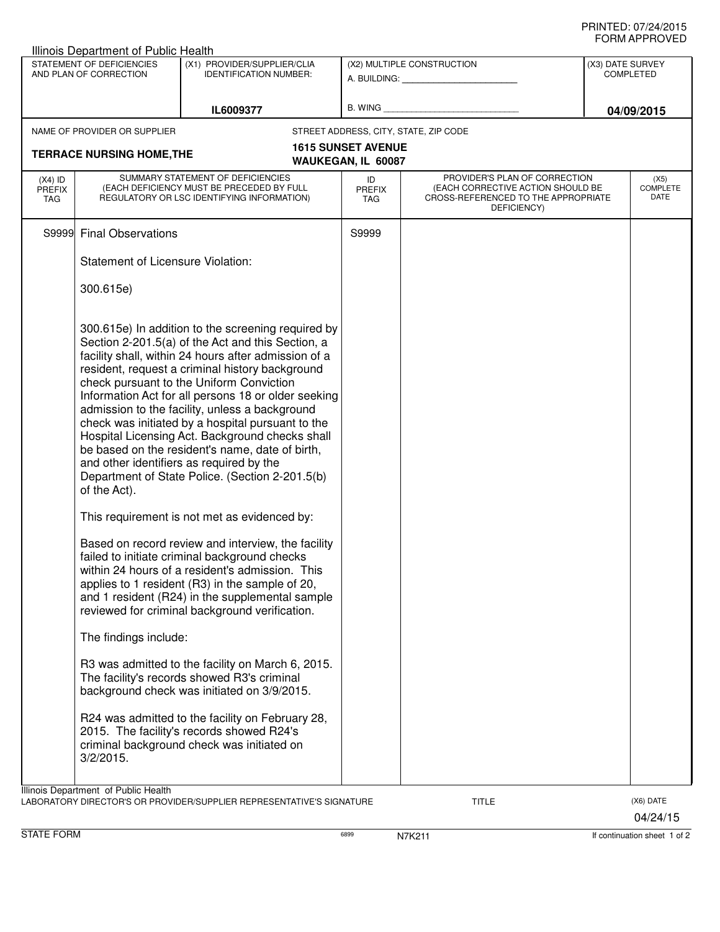## PRINTED: 07/24/2015 FORM APPROVED

| ◡੶┉灬┌┅ ┌ ┌ ┌ ∪ ∪ ∟◡<br>Illinois Department of Public Health                         |                                                                                                                              |                                                                                                                                                                                                                                                                                                                                                                                                                                                                                                                                                                                                                                                                                                                                                                                                                                                    |                                                         |                                                                                                                          |                                      |                       |  |  |  |
|-------------------------------------------------------------------------------------|------------------------------------------------------------------------------------------------------------------------------|----------------------------------------------------------------------------------------------------------------------------------------------------------------------------------------------------------------------------------------------------------------------------------------------------------------------------------------------------------------------------------------------------------------------------------------------------------------------------------------------------------------------------------------------------------------------------------------------------------------------------------------------------------------------------------------------------------------------------------------------------------------------------------------------------------------------------------------------------|---------------------------------------------------------|--------------------------------------------------------------------------------------------------------------------------|--------------------------------------|-----------------------|--|--|--|
| STATEMENT OF DEFICIENCIES<br>AND PLAN OF CORRECTION                                 |                                                                                                                              | (X1) PROVIDER/SUPPLIER/CLIA<br><b>IDENTIFICATION NUMBER:</b>                                                                                                                                                                                                                                                                                                                                                                                                                                                                                                                                                                                                                                                                                                                                                                                       | (X2) MULTIPLE CONSTRUCTION<br>A. BUILDING: A. BUILDING: |                                                                                                                          | (X3) DATE SURVEY<br><b>COMPLETED</b> |                       |  |  |  |
|                                                                                     |                                                                                                                              | IL6009377                                                                                                                                                                                                                                                                                                                                                                                                                                                                                                                                                                                                                                                                                                                                                                                                                                          |                                                         |                                                                                                                          |                                      | 04/09/2015            |  |  |  |
|                                                                                     | NAME OF PROVIDER OR SUPPLIER                                                                                                 |                                                                                                                                                                                                                                                                                                                                                                                                                                                                                                                                                                                                                                                                                                                                                                                                                                                    | STREET ADDRESS, CITY, STATE, ZIP CODE                   |                                                                                                                          |                                      |                       |  |  |  |
| <b>1615 SUNSET AVENUE</b><br><b>TERRACE NURSING HOME, THE</b><br>WAUKEGAN, IL 60087 |                                                                                                                              |                                                                                                                                                                                                                                                                                                                                                                                                                                                                                                                                                                                                                                                                                                                                                                                                                                                    |                                                         |                                                                                                                          |                                      |                       |  |  |  |
| $(X4)$ ID<br><b>PREFIX</b><br>TAG                                                   | SUMMARY STATEMENT OF DEFICIENCIES<br>(EACH DEFICIENCY MUST BE PRECEDED BY FULL<br>REGULATORY OR LSC IDENTIFYING INFORMATION) |                                                                                                                                                                                                                                                                                                                                                                                                                                                                                                                                                                                                                                                                                                                                                                                                                                                    | ID<br><b>PREFIX</b><br>TAG                              | PROVIDER'S PLAN OF CORRECTION<br>(EACH CORRECTIVE ACTION SHOULD BE<br>CROSS-REFERENCED TO THE APPROPRIATE<br>DEFICIENCY) | <b>COMPLETE</b>                      |                       |  |  |  |
| S9999                                                                               | <b>Final Observations</b>                                                                                                    |                                                                                                                                                                                                                                                                                                                                                                                                                                                                                                                                                                                                                                                                                                                                                                                                                                                    | S9999                                                   |                                                                                                                          |                                      |                       |  |  |  |
|                                                                                     | <b>Statement of Licensure Violation:</b>                                                                                     |                                                                                                                                                                                                                                                                                                                                                                                                                                                                                                                                                                                                                                                                                                                                                                                                                                                    |                                                         |                                                                                                                          |                                      |                       |  |  |  |
|                                                                                     | 300.615e)                                                                                                                    |                                                                                                                                                                                                                                                                                                                                                                                                                                                                                                                                                                                                                                                                                                                                                                                                                                                    |                                                         |                                                                                                                          |                                      |                       |  |  |  |
|                                                                                     | and other identifiers as required by the<br>of the Act).                                                                     | 300.615e) In addition to the screening required by<br>Section 2-201.5(a) of the Act and this Section, a<br>facility shall, within 24 hours after admission of a<br>resident, request a criminal history background<br>check pursuant to the Uniform Conviction<br>Information Act for all persons 18 or older seeking<br>admission to the facility, unless a background<br>check was initiated by a hospital pursuant to the<br>Hospital Licensing Act. Background checks shall<br>be based on the resident's name, date of birth,<br>Department of State Police. (Section 2-201.5(b)<br>This requirement is not met as evidenced by:<br>Based on record review and interview, the facility<br>failed to initiate criminal background checks<br>within 24 hours of a resident's admission. This<br>applies to 1 resident (R3) in the sample of 20, |                                                         |                                                                                                                          |                                      |                       |  |  |  |
|                                                                                     |                                                                                                                              | and 1 resident (R24) in the supplemental sample<br>reviewed for criminal background verification.                                                                                                                                                                                                                                                                                                                                                                                                                                                                                                                                                                                                                                                                                                                                                  |                                                         |                                                                                                                          |                                      |                       |  |  |  |
|                                                                                     | The findings include:                                                                                                        |                                                                                                                                                                                                                                                                                                                                                                                                                                                                                                                                                                                                                                                                                                                                                                                                                                                    |                                                         |                                                                                                                          |                                      |                       |  |  |  |
|                                                                                     |                                                                                                                              | R3 was admitted to the facility on March 6, 2015.<br>The facility's records showed R3's criminal<br>background check was initiated on 3/9/2015.                                                                                                                                                                                                                                                                                                                                                                                                                                                                                                                                                                                                                                                                                                    |                                                         |                                                                                                                          |                                      |                       |  |  |  |
|                                                                                     | $3/2/2015$ .                                                                                                                 | R24 was admitted to the facility on February 28,<br>2015. The facility's records showed R24's<br>criminal background check was initiated on                                                                                                                                                                                                                                                                                                                                                                                                                                                                                                                                                                                                                                                                                                        |                                                         |                                                                                                                          |                                      |                       |  |  |  |
|                                                                                     | Illinois Department of Public Health                                                                                         | LABORATORY DIRECTOR'S OR PROVIDER/SUPPLIER REPRESENTATIVE'S SIGNATURE                                                                                                                                                                                                                                                                                                                                                                                                                                                                                                                                                                                                                                                                                                                                                                              |                                                         | <b>TITLE</b>                                                                                                             |                                      | (X6) DATE<br>04/24/15 |  |  |  |

STATE FORM **EXECUTE FORM** 6899 **RIGHT** 6899 **N7K211 If continuation sheet 1 of 2**